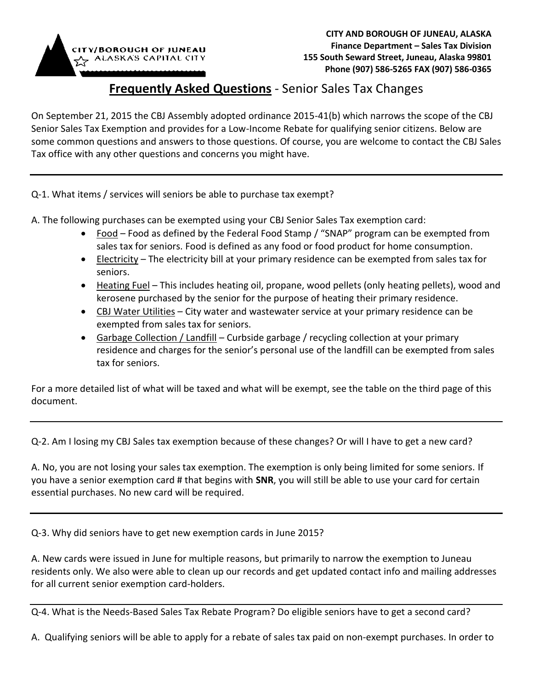

## **Frequently Asked Questions** - Senior Sales Tax Changes

On September 21, 2015 the CBJ Assembly adopted ordinance 2015-41(b) which narrows the scope of the CBJ Senior Sales Tax Exemption and provides for a Low-Income Rebate for qualifying senior citizens. Below are some common questions and answers to those questions. Of course, you are welcome to contact the CBJ Sales Tax office with any other questions and concerns you might have.

Q-1. What items / services will seniors be able to purchase tax exempt?

A. The following purchases can be exempted using your CBJ Senior Sales Tax exemption card:

- Food Food as defined by the Federal Food Stamp / "SNAP" program can be exempted from sales tax for seniors. Food is defined as any food or food product for home consumption.
- Electricity The electricity bill at your primary residence can be exempted from sales tax for seniors.
- Heating Fuel This includes heating oil, propane, wood pellets (only heating pellets), wood and kerosene purchased by the senior for the purpose of heating their primary residence.
- CBJ Water Utilities City water and wastewater service at your primary residence can be exempted from sales tax for seniors.
- Garbage Collection / Landfill Curbside garbage / recycling collection at your primary residence and charges for the senior's personal use of the landfill can be exempted from sales tax for seniors.

For a more detailed list of what will be taxed and what will be exempt, see the table on the third page of this document.

Q-2. Am I losing my CBJ Sales tax exemption because of these changes? Or will I have to get a new card?

A. No, you are not losing your sales tax exemption. The exemption is only being limited for some seniors. If you have a senior exemption card # that begins with **SNR**, you will still be able to use your card for certain essential purchases. No new card will be required.

Q-3. Why did seniors have to get new exemption cards in June 2015?

A. New cards were issued in June for multiple reasons, but primarily to narrow the exemption to Juneau residents only. We also were able to clean up our records and get updated contact info and mailing addresses for all current senior exemption card-holders.

Q-4. What is the Needs-Based Sales Tax Rebate Program? Do eligible seniors have to get a second card?

A. Qualifying seniors will be able to apply for a rebate of sales tax paid on non-exempt purchases. In order to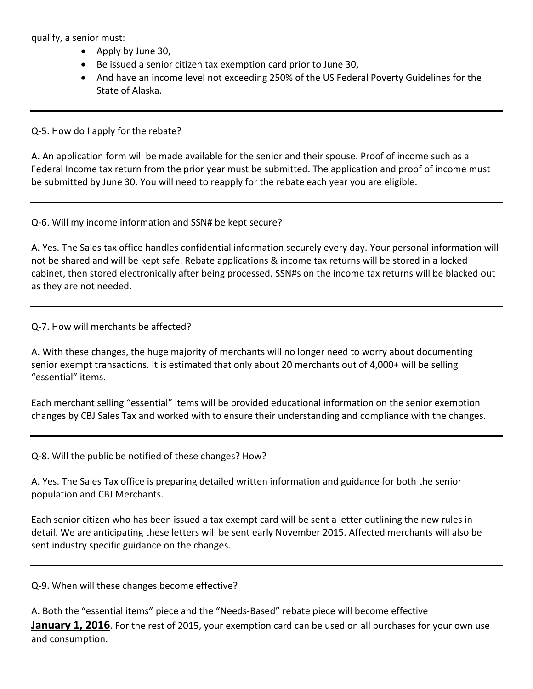qualify, a senior must:

- Apply by June 30,
- Be issued a senior citizen tax exemption card prior to June 30,
- And have an income level not exceeding 250% of the US Federal Poverty Guidelines for the State of Alaska.

Q-5. How do I apply for the rebate?

A. An application form will be made available for the senior and their spouse. Proof of income such as a Federal Income tax return from the prior year must be submitted. The application and proof of income must be submitted by June 30. You will need to reapply for the rebate each year you are eligible.

## Q-6. Will my income information and SSN# be kept secure?

A. Yes. The Sales tax office handles confidential information securely every day. Your personal information will not be shared and will be kept safe. Rebate applications & income tax returns will be stored in a locked cabinet, then stored electronically after being processed. SSN#s on the income tax returns will be blacked out as they are not needed.

Q-7. How will merchants be affected?

A. With these changes, the huge majority of merchants will no longer need to worry about documenting senior exempt transactions. It is estimated that only about 20 merchants out of 4,000+ will be selling "essential" items.

Each merchant selling "essential" items will be provided educational information on the senior exemption changes by CBJ Sales Tax and worked with to ensure their understanding and compliance with the changes.

Q-8. Will the public be notified of these changes? How?

A. Yes. The Sales Tax office is preparing detailed written information and guidance for both the senior population and CBJ Merchants.

Each senior citizen who has been issued a tax exempt card will be sent a letter outlining the new rules in detail. We are anticipating these letters will be sent early November 2015. Affected merchants will also be sent industry specific guidance on the changes.

Q-9. When will these changes become effective?

| A. Both the "essential items" piece and the "Needs-Based" rebate piece will become effective                     |
|------------------------------------------------------------------------------------------------------------------|
| <b>January 1, 2016</b> . For the rest of 2015, your exemption card can be used on all purchases for your own use |
| and consumption.                                                                                                 |